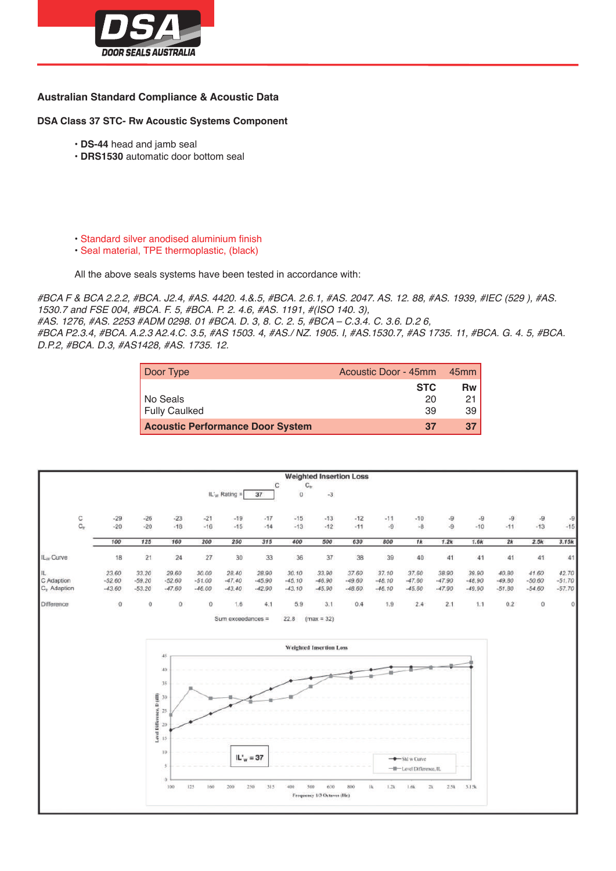

## **Australian Standard Compliance & Acoustic Data**

**DSA Class 37 STC- Rw Acoustic Systems Component**

- **DS-44** head and jamb seal
- **DRS1530** automatic door bottom seal
- Standard silver anodised aluminium finish
- Seal material, TPE thermoplastic, (black)

All the above seals systems have been tested in accordance with:

*#BCA F & BCA 2.2.2, #BCA. J2.4, #AS. 4420. 4.&.5, #BCA. 2.6.1, #AS. 2047. AS. 12. 88, #AS. 1939, #IEC (529 ), #AS. 1530.7 and FSE 004, #BCA. F. 5, #BCA. P. 2. 4.6, #AS. 1191, #(ISO 140. 3),*

*#AS. 1276, #AS. 2253 #ADM 0298. 01 #BCA. D. 3, 8. C. 2. 5, #BCA – C.3.4. C. 3.6. D.2 6,*

*#BCA P2.3.4, #BCA. A.2.3 A2.4.C. 3.5, #AS 1503. 4, #AS./ NZ. 1905. I, #AS.1530.7, #AS 1735. 11, #BCA. G. 4. 5, #BCA. D.P.2, #BCA. D.3, #AS1428, #AS. 1735. 12.*

| Door Type                               | Acoustic Door - 45mm | 45mm l |
|-----------------------------------------|----------------------|--------|
|                                         | <b>STC</b>           | Rw I   |
| No Seals                                | 20                   | 21 I   |
| <b>Fully Caulked</b>                    | 39                   | 39 I   |
| <b>Acoustic Performance Door System</b> | 37                   | 37 I   |

|                                            |                               |                               |                                                                                                      |                               |                               |                               |                               | <b>Weighted Insertion Loss</b>                                             |                               |                               |                                                 |                               |                               |                               |                               |                               |
|--------------------------------------------|-------------------------------|-------------------------------|------------------------------------------------------------------------------------------------------|-------------------------------|-------------------------------|-------------------------------|-------------------------------|----------------------------------------------------------------------------|-------------------------------|-------------------------------|-------------------------------------------------|-------------------------------|-------------------------------|-------------------------------|-------------------------------|-------------------------------|
|                                            |                               |                               |                                                                                                      |                               | IL' <sub>w</sub> Rating $=$   | 37                            | C<br>$\alpha$                 | $C_{\rm tr}$<br>$-3$                                                       |                               |                               |                                                 |                               |                               |                               |                               |                               |
| $\mathbf{C}_n$                             | $-29$<br>$-20$                | $-26$<br>$-20$                | $-23$<br>$-18$                                                                                       | $-21$<br>$-16$                | $-19$<br>$-15$                | $-17$<br>$-14$                | $-15$<br>$-13$                | $-13$<br>$-12$                                                             | $-12$<br>$-11$                | $-11$<br>$-9$                 | $-10$<br>$-8$                                   | $-9$<br>$-9$                  | $-9$<br>$-10$                 | $-9$<br>$-11$                 | $-9$<br>$-13$                 | $-9$<br>$-15$                 |
|                                            | 100                           | 125                           | 160                                                                                                  | 200                           | 250                           | 315                           | 400                           | 500                                                                        | 630                           | 800                           | 1k                                              | 1.2k                          | 1.6k                          | 2k                            | 2.5k                          | 3.15k                         |
| IL <sub>w</sub> Curve                      | 18                            | 21                            | 24                                                                                                   | 27                            | 30 <sub>2</sub>               | 33                            | 36                            | 37                                                                         | 38                            | 39                            | 40                                              | 41                            | 41                            | 41                            | 41                            | 41                            |
| IL.<br>C Adaption<br>$C_{\rm tr}$ Adaption | 23.60<br>$-52.60$<br>$-43.60$ | 33.20<br>$-59.20$<br>$-53.20$ | 29.60<br>$-52.60$<br>$-47.60$                                                                        | 30.00<br>$-51.00$<br>$-46.00$ | 28.40<br>$-47.40$<br>$-43.40$ | 28.90<br>$-45.90$<br>$-42.90$ | 30.10<br>$-45.10$<br>$-43.10$ | 33.90<br>$-46.90$<br>$-45.90$                                              | 37.60<br>$-49.60$<br>$-48.60$ | 37.10<br>$-48.10$<br>$-46.10$ | 37.60<br>$-47.60$<br>$-45.60$                   | 38.90<br>$-47.90$<br>$-47.90$ | 39.90<br>$-48.90$<br>$-49.90$ | 40.80<br>$-49.80$<br>$-51.80$ | 41.60<br>$-50.60$<br>$-54.60$ | 42.70<br>$-51.70$<br>$-57.70$ |
| Difference                                 | $\Omega$                      | 0                             | $\circ$                                                                                              | 0                             | 1.6                           | 4.1                           | 5.9                           | 3.1                                                                        | 0.4                           | 1.9                           | 2.4                                             | 2.1                           | 1.1                           | 0.2                           | $\Omega$                      | $\Omega$                      |
|                                            |                               |                               | 45<br>40<br>35<br>ace, D (dB)<br>30<br>25<br>Level Diffi<br>20<br>15<br>10<br>3<br>$^{\circ}$<br>100 | 125<br>160                    | 200                           | $IL'_{w} = 37$<br>250<br>315  | $-400$                        | <b>Weighted Insertion Loss</b><br>500<br>636<br>Frequency 1/3 Octaves (Hz) | 800                           | $\rm R$<br>1.24               | -Std w Curve<br>-W-Level Difference, IL<br>1.64 | $2k$<br>2.51                  | 3.15k                         |                               |                               |                               |